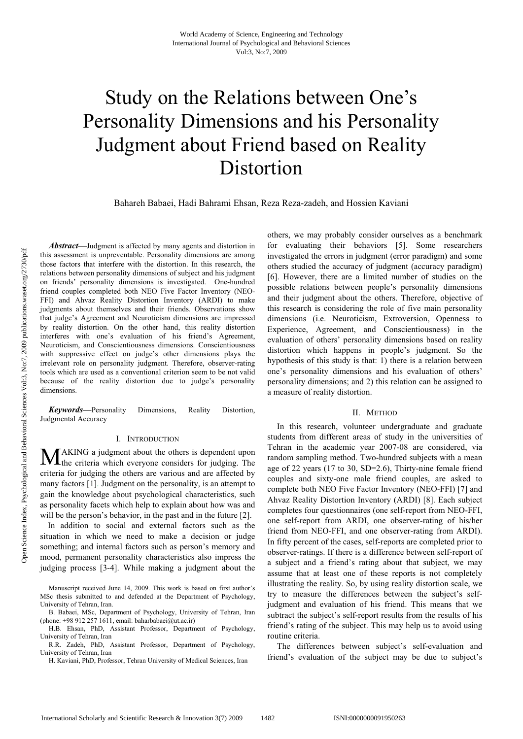# Study on the Relations between One's Personality Dimensions and his Personality Judgment about Friend based on Reality Distortion

Bahareh Babaei, Hadi Bahrami Ehsan, Reza Reza-zadeh, and Hossien Kaviani

*Abstract***—**Judgment is affected by many agents and distortion in this assessment is unpreventable. Personality dimensions are among those factors that interfere with the distortion. In this research, the relations between personality dimensions of subject and his judgment on friends' personality dimensions is investigated. One-hundred friend couples completed both NEO Five Factor Inventory (NEO-FFI) and Ahvaz Reality Distortion Inventory (ARDI) to make judgments about themselves and their friends. Observations show that judge's Agreement and Neuroticism dimensions are impressed by reality distortion. On the other hand, this reality distortion interferes with one's evaluation of his friend's Agreement, Neuroticism, and Conscientiousness dimensions. Conscientiousness with suppressive effect on judge's other dimensions plays the irrelevant role on personality judgment. Therefore, observer-rating tools which are used as a conventional criterion seem to be not valid because of the reality distortion due to judge's personality dimensions.

*Keywords***—**Personality Dimensions, Reality Distortion, Judgmental Accuracy

### I. INTRODUCTION

AKING a judgment about the others is dependent upon **MAKING** a judgment about the others is dependent upon the criteria which everyone considers for judging. The criteria for judging the others are various and are affected by many factors [1]. Judgment on the personality, is an attempt to gain the knowledge about psychological characteristics, such as personality facets which help to explain about how was and will be the person's behavior, in the past and in the future [2].

In addition to social and external factors such as the situation in which we need to make a decision or judge something; and internal factors such as person's memory and mood, permanent personality characteristics also impress the judging process [3-4]. While making a judgment about the

H. Kaviani, PhD, Professor, Tehran University of Medical Sciences, Iran

others, we may probably consider ourselves as a benchmark for evaluating their behaviors [5]. Some researchers investigated the errors in judgment (error paradigm) and some others studied the accuracy of judgment (accuracy paradigm) [6]. However, there are a limited number of studies on the possible relations between people's personality dimensions and their judgment about the others. Therefore, objective of this research is considering the role of five main personality dimensions (i.e. Neuroticism, Extroversion, Openness to Experience, Agreement, and Conscientiousness) in the evaluation of others' personality dimensions based on reality distortion which happens in people's judgment. So the hypothesis of this study is that: 1) there is a relation between one's personality dimensions and his evaluation of others' personality dimensions; and 2) this relation can be assigned to a measure of reality distortion.

#### II. METHOD

In this research, volunteer undergraduate and graduate students from different areas of study in the universities of Tehran in the academic year 2007-08 are considered, via random sampling method. Two-hundred subjects with a mean age of 22 years (17 to 30, SD=2.6), Thirty-nine female friend couples and sixty-one male friend couples, are asked to complete both NEO Five Factor Inventory (NEO-FFI) [7] and Ahvaz Reality Distortion Inventory (ARDI) [8]. Each subject completes four questionnaires (one self-report from NEO-FFI, one self-report from ARDI, one observer-rating of his/her friend from NEO-FFI, and one observer-rating from ARDI). In fifty percent of the cases, self-reports are completed prior to observer-ratings. If there is a difference between self-report of a subject and a friend's rating about that subject, we may assume that at least one of these reports is not completely illustrating the reality. So, by using reality distortion scale, we try to measure the differences between the subject's selfjudgment and evaluation of his friend. This means that we subtract the subject's self-report results from the results of his friend's rating of the subject. This may help us to avoid using routine criteria.

The differences between subject's self-evaluation and friend's evaluation of the subject may be due to subject's

Manuscript received June 14, 2009. This work is based on first author's MSc thesis submitted to and defended at the Department of Psychology, University of Tehran, Iran.

B. Babaei, MSc, Department of Psychology, University of Tehran, Iran (phone: +98 912 257 1611, email: baharbabaei@ut.ac.ir)

H.B. Ehsan, PhD, Assistant Professor, Department of Psychology, University of Tehran, Iran

R.R. Zadeh, PhD, Assistant Professor, Department of Psychology, University of Tehran, Iran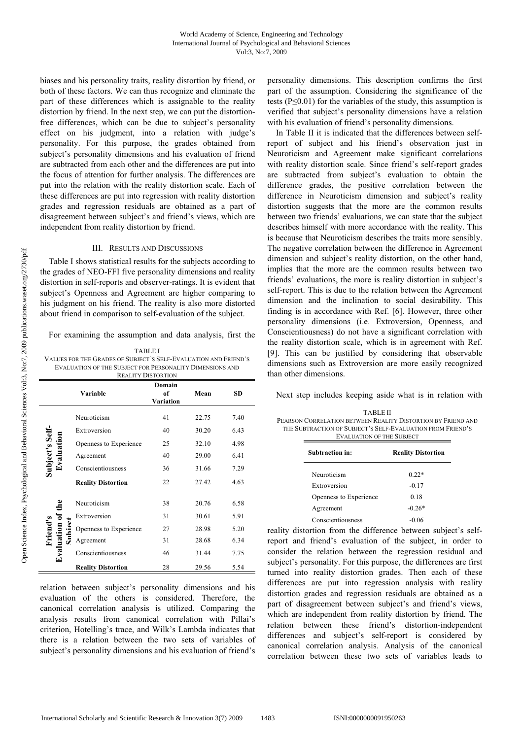biases and his personality traits, reality distortion by friend, or both of these factors. We can thus recognize and eliminate the part of these differences which is assignable to the reality distortion by friend. In the next step, we can put the distortionfree differences, which can be due to subject's personality effect on his judgment, into a relation with judge's personality. For this purpose, the grades obtained from subject's personality dimensions and his evaluation of friend are subtracted from each other and the differences are put into the focus of attention for further analysis. The differences are put into the relation with the reality distortion scale. Each of these differences are put into regression with reality distortion grades and regression residuals are obtained as a part of disagreement between subject's and friend's views, which are independent from reality distortion by friend.

#### III. RESULTS AND DISCUSSIONS

Table I shows statistical results for the subjects according to the grades of NEO-FFI five personality dimensions and reality distortion in self-reports and observer-ratings. It is evident that subject's Openness and Agreement are higher comparing to his judgment on his friend. The reality is also more distorted about friend in comparison to self-evaluation of the subject.

For examining the assumption and data analysis, first the

| <b>TABLEI</b>                                                   |
|-----------------------------------------------------------------|
| VALUES FOR THE GRADES OF SUBJECT'S SELF-EVALUATION AND FRIEND'S |
| EVALUATION OF THE SUBJECT FOR PERSONALITY DIMENSIONS AND        |
| <b>REALITY DISTORTION</b>                                       |

| Domain<br>Variable<br>of<br>Mean                |                           |           |       |      |
|-------------------------------------------------|---------------------------|-----------|-------|------|
|                                                 |                           | Variation |       |      |
|                                                 | Neuroticism               | 41        | 22.75 | 7.40 |
| Subject's Self-<br>Evaluation                   | Extroversion              | 40        | 30.20 | 6.43 |
|                                                 | Openness to Experience    | 25        | 32.10 | 4.98 |
|                                                 | Agreement                 | 40        | 29.00 | 6.41 |
|                                                 | Conscientiousness         | 36        | 31.66 | 7.29 |
|                                                 | <b>Reality Distortion</b> | 22        | 27.42 | 4.63 |
|                                                 | Neuroticism               | 38        | 20.76 | 6.58 |
|                                                 | Extroversion              | 31        | 30.61 | 5.91 |
|                                                 | Openness to Experience    | 27        | 28.98 | 5.20 |
| <b>Evaluation of the</b><br>Subiect<br>Friend's | Agreement                 | 31        | 28.68 | 6.34 |
|                                                 | Conscientiousness         | 46        | 31.44 | 7.75 |
|                                                 | <b>Reality Distortion</b> | 28        | 29.56 | 5.54 |

relation between subject's personality dimensions and his evaluation of the others is considered. Therefore, the canonical correlation analysis is utilized. Comparing the analysis results from canonical correlation with Pillai's criterion, Hotelling's trace, and Wilk's Lambda indicates that there is a relation between the two sets of variables of subject's personality dimensions and his evaluation of friend's personality dimensions. This description confirms the first part of the assumption. Considering the significance of the tests ( $P \le 0.01$ ) for the variables of the study, this assumption is verified that subject's personality dimensions have a relation with his evaluation of friend's personality dimensions.

In Table II it is indicated that the differences between selfreport of subject and his friend's observation just in Neuroticism and Agreement make significant correlations with reality distortion scale. Since friend's self-report grades are subtracted from subject's evaluation to obtain the difference grades, the positive correlation between the difference in Neuroticism dimension and subject's reality distortion suggests that the more are the common results between two friends' evaluations, we can state that the subject describes himself with more accordance with the reality. This is because that Neuroticism describes the traits more sensibly. The negative correlation between the difference in Agreement dimension and subject's reality distortion, on the other hand, implies that the more are the common results between two friends' evaluations, the more is reality distortion in subject's self-report. This is due to the relation between the Agreement dimension and the inclination to social desirability. This finding is in accordance with Ref. [6]. However, three other personality dimensions (i.e. Extroversion, Openness, and Conscientiousness) do not have a significant correlation with the reality distortion scale, which is in agreement with Ref. [9]. This can be justified by considering that observable dimensions such as Extroversion are more easily recognized than other dimensions.

Next step includes keeping aside what is in relation with

| <b>TABLE II</b>                                              |
|--------------------------------------------------------------|
| PEARSON CORRELATION BETWEEN REALITY DISTORTION BY FRIEND AND |
| THE SUBTRACTION OF SUBJECT'S SELF-EVALUATION FROM FRIEND'S   |
| <b>EVALUATION OF THE SUBJECT</b>                             |

| Subtraction in:        | <b>Reality Distortion</b> |  |  |
|------------------------|---------------------------|--|--|
| Neuroticism            | $0.22*$                   |  |  |
| Extroversion           | $-0.17$                   |  |  |
| Openness to Experience | 0.18                      |  |  |
| Agreement              | $-0.26*$                  |  |  |
| Conscientiousness      | $-0.06$                   |  |  |

reality distortion from the difference between subject's selfreport and friend's evaluation of the subject, in order to consider the relation between the regression residual and subject's personality. For this purpose, the differences are first turned into reality distortion grades. Then each of these differences are put into regression analysis with reality distortion grades and regression residuals are obtained as a part of disagreement between subject's and friend's views, which are independent from reality distortion by friend. The relation between these friend's distortion-independent differences and subject's self-report is considered by canonical correlation analysis. Analysis of the canonical correlation between these two sets of variables leads to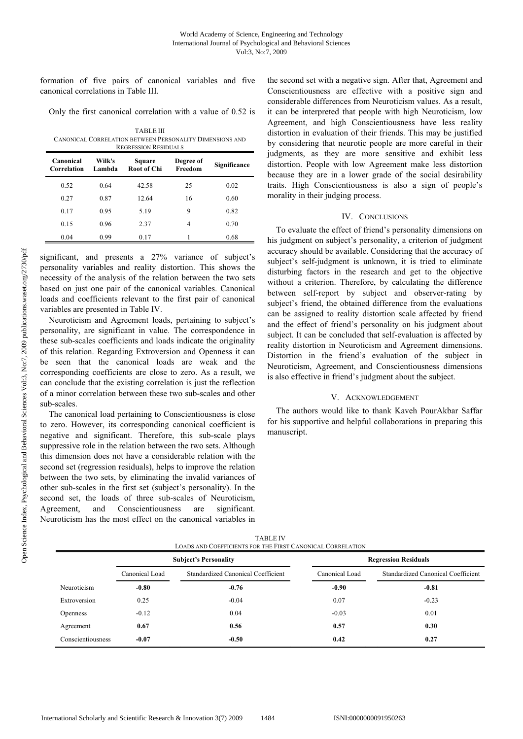formation of five pairs of canonical variables and five canonical correlations in Table III.

Only the first canonical correlation with a value of 0.52 is

| <b>TABLE III</b>                                         |
|----------------------------------------------------------|
| CANONICAL CORRELATION BETWEEN PERSONALITY DIMENSIONS AND |
| <b>REGRESSION RESIDUALS</b>                              |

| Canonical<br>Correlation | Wilk's<br>Lambda | Square<br><b>Root of Chi</b> | Degree of<br>Freedom | Significance |
|--------------------------|------------------|------------------------------|----------------------|--------------|
| 0.52                     | 0.64             | 42.58                        | 25                   | 0.02         |
| 0.27                     | 0.87             | 12.64                        | 16                   | 0.60         |
| 0.17                     | 0.95             | 5.19                         | 9                    | 0.82         |
| 0.15                     | 0.96             | 2.37                         | 4                    | 0.70         |
| 0.04                     | 0.99             | 0.17                         |                      | 0.68         |

significant, and presents a 27% variance of subject's personality variables and reality distortion. This shows the necessity of the analysis of the relation between the two sets based on just one pair of the canonical variables. Canonical loads and coefficients relevant to the first pair of canonical variables are presented in Table IV.

Neuroticism and Agreement loads, pertaining to subject's personality, are significant in value. The correspondence in these sub-scales coefficients and loads indicate the originality of this relation. Regarding Extroversion and Openness it can be seen that the canonical loads are weak and the corresponding coefficients are close to zero. As a result, we can conclude that the existing correlation is just the reflection of a minor correlation between these two sub-scales and other sub-scales.

The canonical load pertaining to Conscientiousness is close to zero. However, its corresponding canonical coefficient is negative and significant. Therefore, this sub-scale plays suppressive role in the relation between the two sets. Although this dimension does not have a considerable relation with the second set (regression residuals), helps to improve the relation between the two sets, by eliminating the invalid variances of other sub-scales in the first set (subject's personality). In the second set, the loads of three sub-scales of Neuroticism, Agreement, and Conscientiousness are significant. Neuroticism has the most effect on the canonical variables in

the second set with a negative sign. After that, Agreement and Conscientiousness are effective with a positive sign and considerable differences from Neuroticism values. As a result, it can be interpreted that people with high Neuroticism, low Agreement, and high Conscientiousness have less reality distortion in evaluation of their friends. This may be justified by considering that neurotic people are more careful in their judgments, as they are more sensitive and exhibit less distortion. People with low Agreement make less distortion because they are in a lower grade of the social desirability traits. High Conscientiousness is also a sign of people's morality in their judging process.

## IV. CONCLUSIONS

To evaluate the effect of friend's personality dimensions on his judgment on subject's personality, a criterion of judgment accuracy should be available. Considering that the accuracy of subject's self-judgment is unknown, it is tried to eliminate disturbing factors in the research and get to the objective without a criterion. Therefore, by calculating the difference between self-report by subject and observer-rating by subject's friend, the obtained difference from the evaluations can be assigned to reality distortion scale affected by friend and the effect of friend's personality on his judgment about subject. It can be concluded that self-evaluation is affected by reality distortion in Neuroticism and Agreement dimensions. Distortion in the friend's evaluation of the subject in Neuroticism, Agreement, and Conscientiousness dimensions is also effective in friend's judgment about the subject.

# V. ACKNOWLEDGEMENT

The authors would like to thank Kaveh PourAkbar Saffar for his supportive and helpful collaborations in preparing this manuscript.

| <b>TABLE IV</b>                                            |  |
|------------------------------------------------------------|--|
| LOADS AND COEFFICIENTS FOR THE FIRST CANONICAL CORRELATION |  |
|                                                            |  |

|                   | <b>Subject's Personality</b> |                                           | <b>Regression Residuals</b> |                                           |  |
|-------------------|------------------------------|-------------------------------------------|-----------------------------|-------------------------------------------|--|
|                   | Canonical Load               | <b>Standardized Canonical Coefficient</b> | Canonical Load              | <b>Standardized Canonical Coefficient</b> |  |
| Neuroticism       | $-0.80$                      | $-0.76$                                   | $-0.90$                     | $-0.81$                                   |  |
| Extroversion      | 0.25                         | $-0.04$                                   | 0.07                        | $-0.23$                                   |  |
| <b>Openness</b>   | $-0.12$                      | 0.04                                      | $-0.03$                     | 0.01                                      |  |
| Agreement         | 0.67                         | 0.56                                      | 0.57                        | 0.30                                      |  |
| Conscientiousness | $-0.07$                      | $-0.50$                                   | 0.42                        | 0.27                                      |  |